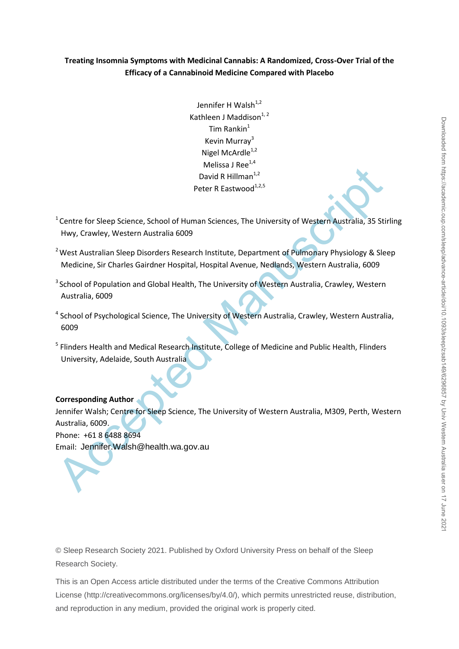## **Treating Insomnia Symptoms with Medicinal Cannabis: A Randomized, Cross-Over Trial of the Efficacy of a Cannabinoid Medicine Compared with Placebo**

Jennifer H Walsh<sup>1,2</sup> Kathleen J Maddison $1, 2$ Tim Rankin $1$ Kevin Murray<sup>3</sup> Nigel McArdle $1,2$ Melissa J Ree $^{1,4}$ David R Hillman $1,2$ Peter R Eastwood $^{1,2,5}$ 

- $1$ Centre for Sleep Science, School of Human Sciences, The University of Western Australia, 35 Stirling Hwy, Crawley, Western Australia 6009
- <sup>2</sup> West Australian Sleep Disorders Research Institute, Department of Pulmonary Physiology & Sleep Medicine, Sir Charles Gairdner Hospital, Hospital Avenue, Nedlands, Western Australia, 6009
- <sup>3</sup> School of Population and Global Health, The University of Western Australia, Crawley, Western Australia, 6009
- <sup>4</sup> School of Psychological Science, The University of Western Australia, Crawley, Western Australia, 6009
- <sup>5</sup> Flinders Health and Medical Research Institute, College of Medicine and Public Health, Flinders University, Adelaide, South Australia

#### **Corresponding Author**

David R Hillman<sup>12</sup><br>
Peter R Eastwood<sup>122</sup><br>
Peter R Eastwood<sup>122</sup><br>
Peter R Eastwood<sup>122</sup><br>
Peter R Eastwood<sup>122</sup><br>
Peter A Eastwood<sup>122</sup><br>
Peter Accepted Manuscriptic Peter Australia, 35 Still<br>
May, Crawley, Western Australia Jennifer Walsh; Centre for Sleep Science, The University of Western Australia, M309, Perth, Western Australia, 6009. Phone: +61 8 6488 8694 Email: Jennifer.Walsh@health.wa.gov.au

© Sleep Research Society 2021. Published by Oxford University Press on behalf of the Sleep Research Society.

This is an Open Access article distributed under the terms of the Creative Commons Attribution License (http://creativecommons.org/licenses/by/4.0/), which permits unrestricted reuse, distribution, and reproduction in any medium, provided the original work is properly cited.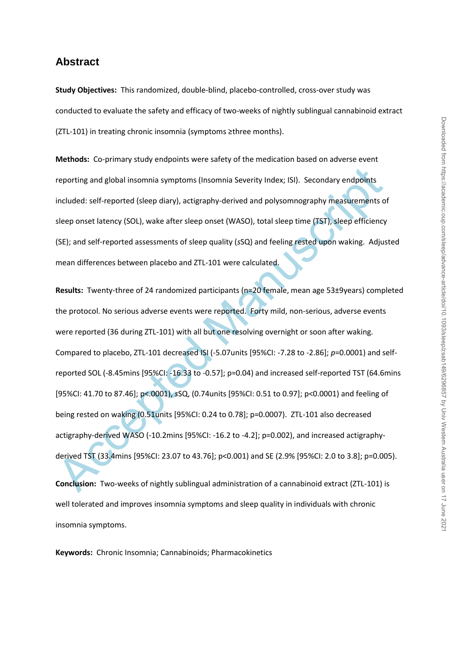# **Abstract**

**Study Objectives:** This randomized, double-blind, placebo-controlled, cross-over study was conducted to evaluate the safety and efficacy of two-weeks of nightly sublingual cannabinoid extract (ZTL-101) in treating chronic insomnia (symptoms ≥three months).

**Methods:** Co-primary study endpoints were safety of the medication based on adverse event reporting and global insomnia symptoms (Insomnia Severity Index; ISI). Secondary endpoints included: self-reported (sleep diary), actigraphy-derived and polysomnography measurements of sleep onset latency (SOL), wake after sleep onset (WASO), total sleep time (TST), sleep efficiency (SE); and self-reported assessments of sleep quality (*s*SQ) and feeling rested upon waking. Adjusted mean differences between placebo and ZTL-101 were calculated.

reporting and global insomnia symptoms (Insomnia Severity Index; ISI). Secondary endpoints<br>included: self-reported (sleep diary), actigraphy-derived and polysomnography measurements o<br>sleep onset latency (SOL), wake after **Results:** Twenty-three of 24 randomized participants (n=20 female, mean age 53±9years) completed the protocol. No serious adverse events were reported. Forty mild, non-serious, adverse events were reported (36 during ZTL-101) with all but one resolving overnight or soon after waking. Compared to placebo, ZTL-101 decreased ISI (-5.07units [95%CI: -7.28 to -2.86]; *p*=0.0001) and selfreported SOL (-8.45mins [95%CI: -16.33 to -0.57]; p=0.04) and increased self-reported TST (64.6mins [95%CI: 41.70 to 87.46]; p<.0001), *s*SQ, (0.74units [95%CI: 0.51 to 0.97]; p<0.0001) and feeling of being rested on waking (0.51units [95%CI: 0.24 to 0.78]; p=0.0007). ZTL-101 also decreased actigraphy-derived WASO (-10.2mins [95%CI: -16.2 to -4.2]; p=0.002), and increased actigraphyderived TST (33.4mins [95%CI: 23.07 to 43.76]; p<0.001) and SE (2.9% [95%CI: 2.0 to 3.8]; p=0.005).

**Conclusion:** Two-weeks of nightly sublingual administration of a cannabinoid extract (ZTL-101) is well tolerated and improves insomnia symptoms and sleep quality in individuals with chronic insomnia symptoms.

**Keywords:** Chronic Insomnia; Cannabinoids; Pharmacokinetics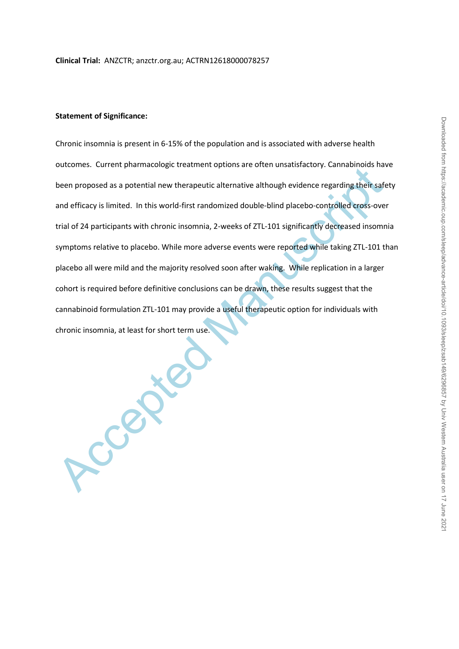#### **Statement of Significance:**

been proposed as a potential new therapeutic alternative although evidence regarding their safe<br>and efficacy is limited. In this world-first randomized double-blind placebo-controlled cross-over<br>trial of 24 participants wi Chronic insomnia is present in 6-15% of the population and is associated with adverse health outcomes. Current pharmacologic treatment options are often unsatisfactory. Cannabinoids have been proposed as a potential new therapeutic alternative although evidence regarding their safety and efficacy is limited. In this world-first randomized double-blind placebo-controlled cross-over trial of 24 participants with chronic insomnia, 2-weeks of ZTL-101 significantly decreased insomnia symptoms relative to placebo. While more adverse events were reported while taking ZTL-101 than placebo all were mild and the majority resolved soon after waking. While replication in a larger cohort is required before definitive conclusions can be drawn, these results suggest that the cannabinoid formulation ZTL-101 may provide a useful therapeutic option for individuals with chronic insomnia, at least for short term use.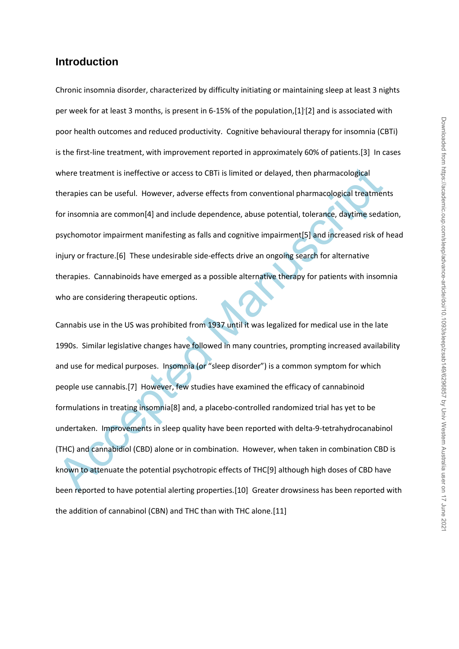# **Introduction**

Chronic insomnia disorder, characterized by difficulty initiating or maintaining sleep at least 3 nights per week for at least 3 months, is present in 6-15% of the population,[1]<sup>'</sup>[2] and is associated with poor health outcomes and reduced productivity. Cognitive behavioural therapy for insomnia (CBTi) is the first-line treatment, with improvement reported in approximately 60% of patients.[3] In cases where treatment is ineffective or access to CBTi is limited or delayed, then pharmacological therapies can be useful. However, adverse effects from conventional pharmacological treatments for insomnia are common[4] and include dependence, abuse potential, tolerance, daytime sedation, psychomotor impairment manifesting as falls and cognitive impairment[5] and increased risk of head injury or fracture.[6] These undesirable side-effects drive an ongoing search for alternative therapies. Cannabinoids have emerged as a possible alternative therapy for patients with insomnia who are considering therapeutic options.

where treatment is ineffective or access to C8Ti is limited or delayed, then pharmacological<br>therapies can be useful. However, adverse effects from conventional pharmacological treatmen<br>for insomnia are common[4] and inclu Cannabis use in the US was prohibited from 1937 until it was legalized for medical use in the late 1990s. Similar legislative changes have followed in many countries, prompting increased availability and use for medical purposes. Insomnia (or "sleep disorder") is a common symptom for which people use cannabis.[7] However, few studies have examined the efficacy of cannabinoid formulations in treating insomnia[8] and, a placebo-controlled randomized trial has yet to be undertaken. Improvements in sleep quality have been reported with delta-9-tetrahydrocanabinol (THC) and cannabidiol (CBD) alone or in combination. However, when taken in combination CBD is known to attenuate the potential psychotropic effects of THC[9] although high doses of CBD have been reported to have potential alerting properties.[10] Greater drowsiness has been reported with the addition of cannabinol (CBN) and THC than with THC alone.[11]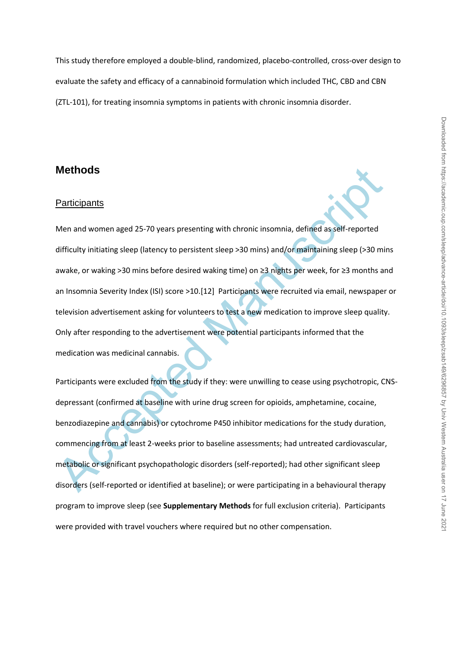This study therefore employed a double-blind, randomized, placebo-controlled, cross-over design to evaluate the safety and efficacy of a cannabinoid formulation which included THC, CBD and CBN (ZTL-101), for treating insomnia symptoms in patients with chronic insomnia disorder.

# **Methods**

#### **Participants**

Methods<br>
Participants<br>
Men and women aged 25-70 years presenting with chronic insomnia, defined as self-reported<br>
difficulty initiating sleep (latency to persistent sleep >30 mins) and/or maintaining sleep (>30 mi<br>
awake, Men and women aged 25-70 years presenting with chronic insomnia, defined as self-reported difficulty initiating sleep (latency to persistent sleep >30 mins) and/or maintaining sleep (>30 mins awake, or waking >30 mins before desired waking time) on ≥3 nights per week, for ≥3 months and an Insomnia Severity Index (ISI) score >10.[12] Participants were recruited via email, newspaper or television advertisement asking for volunteers to test a new medication to improve sleep quality. Only after responding to the advertisement were potential participants informed that the medication was medicinal cannabis.

Participants were excluded from the study if they: were unwilling to cease using psychotropic, CNSdepressant (confirmed at baseline with urine drug screen for opioids, amphetamine, cocaine, benzodiazepine and cannabis) or cytochrome P450 inhibitor medications for the study duration, commencing from at least 2-weeks prior to baseline assessments; had untreated cardiovascular, metabolic or significant psychopathologic disorders (self-reported); had other significant sleep disorders (self-reported or identified at baseline); or were participating in a behavioural therapy program to improve sleep (see **Supplementary Methods** for full exclusion criteria). Participants were provided with travel vouchers where required but no other compensation.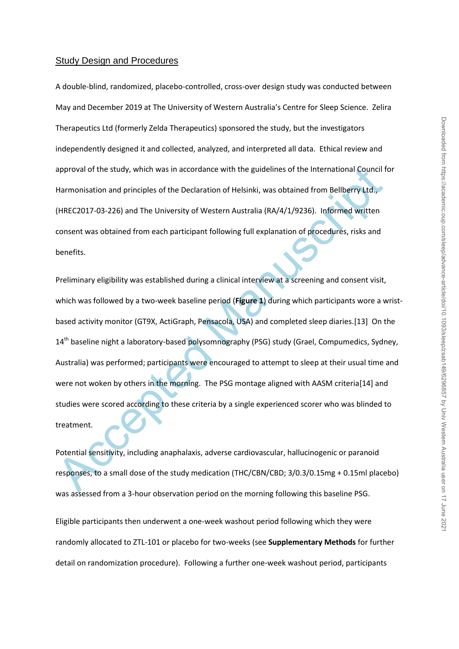#### Study Design and Procedures

A double-blind, randomized, placebo-controlled, cross-over design study was conducted between May and December 2019 at The University of Western Australia's Centre for Sleep Science. Zelira Therapeutics Ltd (formerly Zelda Therapeutics) sponsored the study, but the investigators independently designed it and collected, analyzed, and interpreted all data. Ethical review and approval of the study, which was in accordance with the guidelines of the International Council for Harmonisation and principles of the Declaration of Helsinki, was obtained from Bellberry Ltd., (HREC2017-03-226) and The University of Western Australia (RA/4/1/9236). Informed written consent was obtained from each participant following full explanation of procedures, risks and benefits.

approval of the study, which was in accordance with the guidelines of the International Council f<br>Harmonisation and principles of the Declaration of Helsinki, was obtained from Bellberry Ltd.,<br>(HREC2017-03-226) and The Uni Preliminary eligibility was established during a clinical interview at a screening and consent visit, which was followed by a two-week baseline period (**Figure 1**) during which participants wore a wristbased activity monitor (GT9X, ActiGraph, Pensacola, USA) and completed sleep diaries.[13] On the 14<sup>th</sup> baseline night a laboratory-based polysomnography (PSG) study (Grael, Compumedics, Sydney, Australia) was performed; participants were encouraged to attempt to sleep at their usual time and were not woken by others in the morning. The PSG montage aligned with AASM criteria[14] and studies were scored according to these criteria by a single experienced scorer who was blinded to treatment.

Potential sensitivity, including anaphalaxis, adverse cardiovascular, hallucinogenic or paranoid responses, to a small dose of the study medication (THC/CBN/CBD; 3/0.3/0.15mg + 0.15ml placebo) was assessed from a 3-hour observation period on the morning following this baseline PSG.

Eligible participants then underwent a one-week washout period following which they were randomly allocated to ZTL-101 or placebo for two-weeks (see **Supplementary Methods** for further detail on randomization procedure). Following a further one-week washout period, participants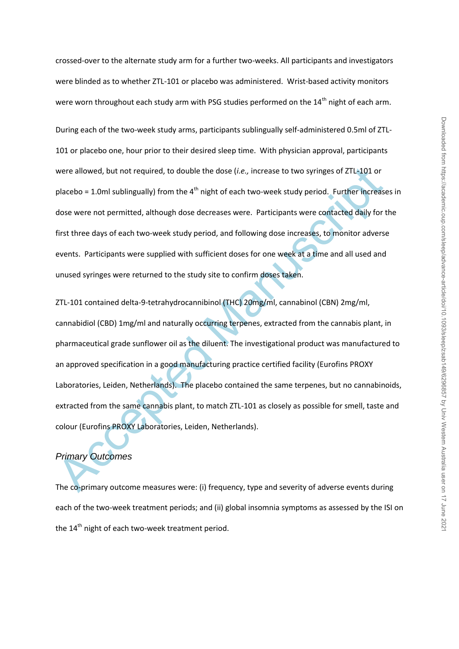crossed-over to the alternate study arm for a further two-weeks. All participants and investigators were blinded as to whether ZTL-101 or placebo was administered. Wrist-based activity monitors were worn throughout each study arm with PSG studies performed on the 14<sup>th</sup> night of each arm.

During each of the two-week study arms, participants sublingually self-administered 0.5ml of ZTL-101 or placebo one, hour prior to their desired sleep time. With physician approval, participants were allowed, but not required, to double the dose (*i.e.,* increase to two syringes of ZTL-101 or placebo = 1.0ml sublingually) from the  $4<sup>th</sup>$  night of each two-week study period. Further increases in dose were not permitted, although dose decreases were. Participants were contacted daily for the first three days of each two-week study period, and following dose increases, to monitor adverse events. Participants were supplied with sufficient doses for one week at a time and all used and unused syringes were returned to the study site to confirm doses taken.

were allowed, but not required, to double the dose (*i.e.,* increase to two syringes of ZTL-101 or<br>placebo = 1.0ml sublingually) from the 4<sup>th</sup> night of each two-week study period. Further increase<br>dose were not permitted, ZTL-101 contained delta-9-tetrahydrocannibinol (THC) 20mg/ml, cannabinol (CBN) 2mg/ml, cannabidiol (CBD) 1mg/ml and naturally occurring terpenes, extracted from the cannabis plant, in pharmaceutical grade sunflower oil as the diluent. The investigational product was manufactured to an approved specification in a good manufacturing practice certified facility (Eurofins PROXY Laboratories, Leiden, Netherlands). The placebo contained the same terpenes, but no cannabinoids, extracted from the same cannabis plant, to match ZTL-101 as closely as possible for smell, taste and colour (Eurofins PROXY Laboratories, Leiden, Netherlands).

# *Primary Outcomes*

The co-primary outcome measures were: (i) frequency, type and severity of adverse events during each of the two-week treatment periods; and (ii) global insomnia symptoms as assessed by the ISI on the  $14<sup>th</sup>$  night of each two-week treatment period.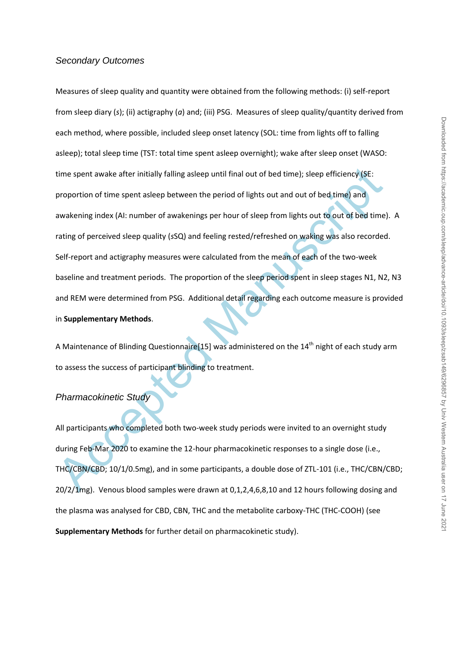#### *Secondary Outcomes*

time spent awake after initially falling asleep until final out of bed time); sleep efficiency (SE:<br>proportion of time spent asleep between the period of lights out and out of bed time) and<br>awakening index (AI: number of a Measures of sleep quality and quantity were obtained from the following methods: (i) self-report from sleep diary (*s*); (ii) actigraphy (*a*) and; (iii) PSG. Measures of sleep quality/quantity derived from each method, where possible, included sleep onset latency (SOL: time from lights off to falling asleep); total sleep time (TST: total time spent asleep overnight); wake after sleep onset (WASO: time spent awake after initially falling asleep until final out of bed time); sleep efficiency (SE: proportion of time spent asleep between the period of lights out and out of bed time) and awakening index (AI: number of awakenings per hour of sleep from lights out to out of bed time). A rating of perceived sleep quality (*s*SQ) and feeling rested/refreshed on waking was also recorded. Self-report and actigraphy measures were calculated from the mean of each of the two-week baseline and treatment periods. The proportion of the sleep period spent in sleep stages N1, N2, N3 and REM were determined from PSG. Additional detail regarding each outcome measure is provided in **Supplementary Methods**.

A Maintenance of Blinding Questionnaire[15] was administered on the  $14<sup>th</sup>$  night of each study arm to assess the success of participant blinding to treatment.

#### *Pharmacokinetic Study*

All participants who completed both two-week study periods were invited to an overnight study during Feb-Mar 2020 to examine the 12-hour pharmacokinetic responses to a single dose (i.e., THC/CBN/CBD; 10/1/0.5mg), and in some participants, a double dose of ZTL-101 (i.e., THC/CBN/CBD; 20/2/1mg). Venous blood samples were drawn at 0,1,2,4,6,8,10 and 12 hours following dosing and the plasma was analysed for CBD, CBN, THC and the metabolite carboxy-THC (THC-COOH) (see **Supplementary Methods** for further detail on pharmacokinetic study).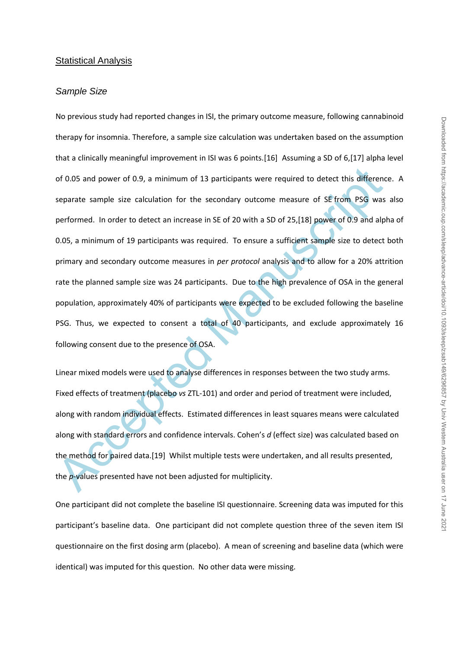#### Statistical Analysis

#### *Sample Size*

of 0.05 and power of 0.9, a minimum of 13 participants were required to detect this differences parate sample size calculation for the secondary outcome measure of SE from PSG was performed. In order to detect an increase No previous study had reported changes in ISI, the primary outcome measure, following cannabinoid therapy for insomnia. Therefore, a sample size calculation was undertaken based on the assumption that a clinically meaningful improvement in ISI was 6 points.[16] Assuming a SD of 6,[17] alpha level of 0.05 and power of 0.9, a minimum of 13 participants were required to detect this difference. A separate sample size calculation for the secondary outcome measure of SE from PSG was also performed. In order to detect an increase in SE of 20 with a SD of 25,[18] power of 0.9 and alpha of 0.05, a minimum of 19 participants was required. To ensure a sufficient sample size to detect both primary and secondary outcome measures in *per protocol* analysis and to allow for a 20% attrition rate the planned sample size was 24 participants. Due to the high prevalence of OSA in the general population, approximately 40% of participants were expected to be excluded following the baseline PSG. Thus, we expected to consent a total of 40 participants, and exclude approximately 16 following consent due to the presence of OSA.

Linear mixed models were used to analyse differences in responses between the two study arms. Fixed effects of treatment (placebo *vs* ZTL-101) and order and period of treatment were included, along with random individual effects. Estimated differences in least squares means were calculated along with standard errors and confidence intervals. Cohen's *d* (effect size) was calculated based on the method for paired data.[19] Whilst multiple tests were undertaken, and all results presented, the *p*-values presented have not been adjusted for multiplicity.

One participant did not complete the baseline ISI questionnaire. Screening data was imputed for this participant's baseline data. One participant did not complete question three of the seven item ISI questionnaire on the first dosing arm (placebo). A mean of screening and baseline data (which were identical) was imputed for this question. No other data were missing.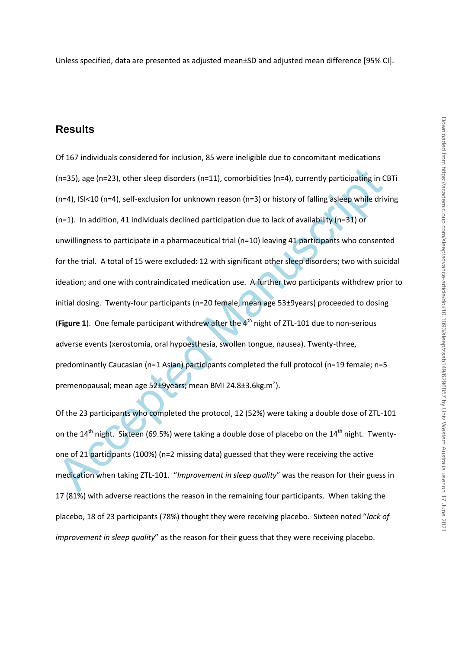Unless specified, data are presented as adjusted mean±SD and adjusted mean difference [95% CI].

# **Results**

(n=35), age (n=23), other sleep disorders (n=11), comorbidities (n=4), currently participating in C<br>(n=4), ISI<10 (n=4), self-exclusion for unknown reason (n=3) or history of falling asleep while driv<br>(n=1). In addition, Of 167 individuals considered for inclusion, 85 were ineligible due to concomitant medications (n=35), age (n=23), other sleep disorders (n=11), comorbidities (n=4), currently participating in CBTi (n=4), ISI<10 (n=4), self-exclusion for unknown reason (n=3) or history of falling asleep while driving (n=1). In addition, 41 individuals declined participation due to lack of availability (n=31) or unwillingness to participate in a pharmaceutical trial (n=10) leaving 41 participants who consented for the trial. A total of 15 were excluded: 12 with significant other sleep disorders; two with suicidal ideation; and one with contraindicated medication use. A further two participants withdrew prior to initial dosing. Twenty-four participants (n=20 female, mean age 53±9years) proceeded to dosing (Figure 1). One female participant withdrew after the 4<sup>th</sup> night of ZTL-101 due to non-serious adverse events (xerostomia, oral hypoesthesia, swollen tongue, nausea). Twenty-three, predominantly Caucasian (n=1 Asian) participants completed the full protocol (n=19 female; n=5 premenopausal; mean age 52±9years; mean BMI 24.8±3.6kg.m<sup>2</sup>).

Of the 23 participants who completed the protocol, 12 (52%) were taking a double dose of ZTL-101 on the  $14^{th}$  night. Sixteen (69.5%) were taking a double dose of placebo on the  $14^{th}$  night. Twentyone of 21 participants (100%) (n=2 missing data) guessed that they were receiving the active medication when taking ZTL-101. "*Improvement in sleep quality*" was the reason for their guess in 17 (81%) with adverse reactions the reason in the remaining four participants. When taking the placebo, 18 of 23 participants (78%) thought they were receiving placebo. Sixteen noted "*lack of improvement in sleep quality*" as the reason for their guess that they were receiving placebo.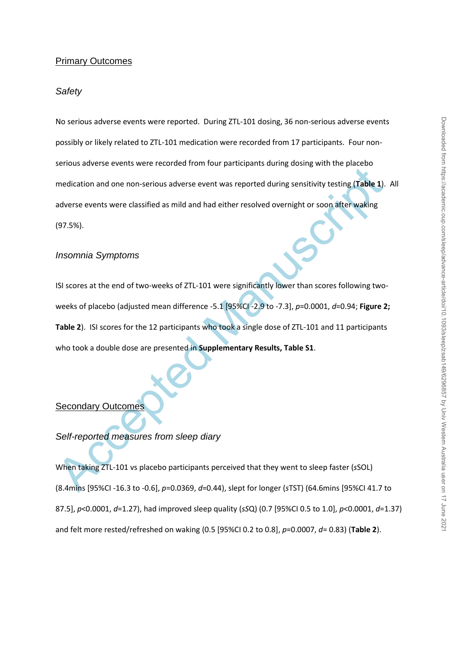### Primary Outcomes

#### *Safety*

No serious adverse events were reported. During ZTL-101 dosing, 36 non-serious adverse events possibly or likely related to ZTL-101 medication were recorded from 17 participants. Four nonserious adverse events were recorded from four participants during dosing with the placebo medication and one non-serious adverse event was reported during sensitivity testing (**Table 1**). All adverse events were classified as mild and had either resolved overnight or soon after waking (97.5%).

## *Insomnia Symptoms*

medication and one non-serious adverse event was reported during sensitivity testing (Table 1).<br>
adverse events were classified as mild and had either resolved overnight or soon after waking<br>
(97.5%).<br>
Insomnia Symptoms<br>
I ISI scores at the end of two-weeks of ZTL-101 were significantly lower than scores following twoweeks of placebo (adjusted mean difference -5.1 [95%CI -2.9 to -7.3], *p*=0.0001, *d*=0.94; **Figure 2; Table 2**). ISI scores for the 12 participants who took a single dose of ZTL-101 and 11 participants who took a double dose are presented in **Supplementary Results, Table S1**.

# Secondary Outcomes

*Self-reported measures from sleep diary*

When taking ZTL-101 vs placebo participants perceived that they went to sleep faster (*s*SOL) (8.4mins [95%CI -16.3 to -0.6], *p*=0.0369, *d*=0.44), slept for longer (*s*TST) (64.6mins [95%CI 41.7 to 87.5], *p*<0.0001, *d*=1.27), had improved sleep quality (*sS*Q) (0.7 [95%CI 0.5 to 1.0], *p*<0.0001, *d*=1.37) and felt more rested/refreshed on waking (0.5 [95%CI 0.2 to 0.8], *p*=0.0007, *d*= 0.83) (**Table 2**).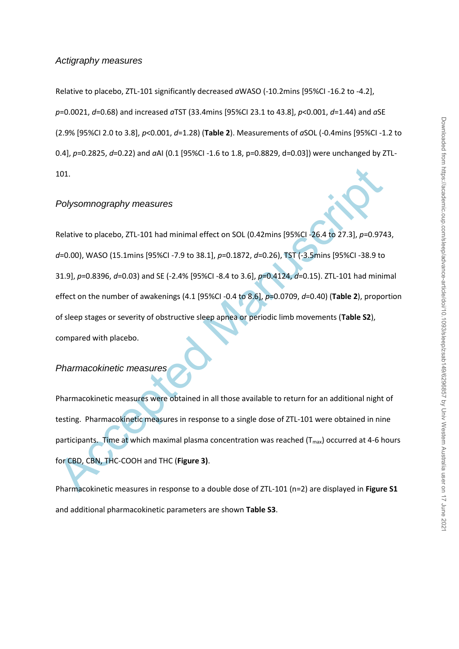#### *Actigraphy measures*

Relative to placebo, ZTL-101 significantly decreased *a*WASO (-10.2mins [95%CI -16.2 to -4.2], *p*=0.0021, *d*=0.68) and increased *a*TST (33.4mins [95%CI 23.1 to 43.8], *p*<0.001, *d*=1.44) and *a*SE (2.9% [95%CI 2.0 to 3.8], *p*<0.001, *d*=1.28) (**Table 2**). Measurements of *a*SOL (-0.4mins [95%CI -1.2 to 0.4], *p*=0.2825, *d*=0.22) and *a*AI (0.1 [95%CI -1.6 to 1.8, p=0.8829, d=0.03]) were unchanged by ZTL-101.

#### *Polysomnography measures*

101.<br>
Polysomnography measures<br>
Relative to placebo, ZTL-101 had minimal effect on SOL (0.42mins [95%Cl -26.4 to 27.3], p=0.974<br>
d=0.00), WASO (15.1mins [95%Cl -7.9 to 38.1], p=0.1872, d=0.26), TST (-3.5mins [95%Cl -38.9 t Relative to placebo, ZTL-101 had minimal effect on SOL (0.42mins [95%CI -26.4 to 27.3], *p*=0.9743, *d*=0.00), WASO (15.1mins [95%CI -7.9 to 38.1], *p*=0.1872, *d*=0.26), TST (-3.5mins [95%CI -38.9 to 31.9], *p*=0.8396, *d*=0.03) and SE (-2.4% [95%CI -8.4 to 3.6], *p*=0.4124, *d*=0.15). ZTL-101 had minimal effect on the number of awakenings (4.1 [95%CI -0.4 to 8.6], *p*=0.0709, *d*=0.40) (**Table 2**), proportion of sleep stages or severity of obstructive sleep apnea or periodic limb movements (**Table S2**), compared with placebo.

# *Pharmacokinetic measures*

Pharmacokinetic measures were obtained in all those available to return for an additional night of testing. Pharmacokinetic measures in response to a single dose of ZTL-101 were obtained in nine participants. Time at which maximal plasma concentration was reached  $(T_{max})$  occurred at 4-6 hours for CBD, CBN, THC-COOH and THC (**Figure 3)**.

Pharmacokinetic measures in response to a double dose of ZTL-101 (n=2) are displayed in **Figure S1**  and additional pharmacokinetic parameters are shown **Table S3**.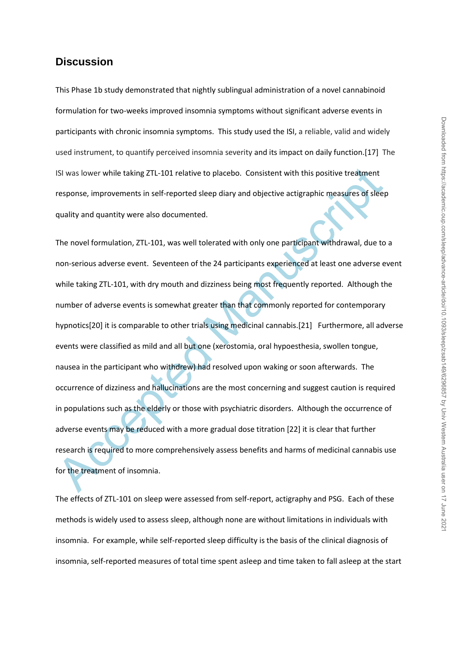# **Discussion**

This Phase 1b study demonstrated that nightly sublingual administration of a novel cannabinoid formulation for two-weeks improved insomnia symptoms without significant adverse events in participants with chronic insomnia symptoms. This study used the ISI, a reliable, valid and widely used instrument, to quantify perceived insomnia severity and its impact on daily function.[17] The ISI was lower while taking ZTL-101 relative to placebo. Consistent with this positive treatment response, improvements in self-reported sleep diary and objective actigraphic measures of sleep quality and quantity were also documented.

ISI was lower while taking ZTL-101 relative to placebo. Consistent with this positive treatment<br>response, improvements in self-reported sleep diary and objective actigraphic measures of sleep<br>quality and quantity were also The novel formulation, ZTL-101, was well tolerated with only one participant withdrawal, due to a non-serious adverse event. Seventeen of the 24 participants experienced at least one adverse event while taking ZTL-101, with dry mouth and dizziness being most frequently reported. Although the number of adverse events is somewhat greater than that commonly reported for contemporary hypnotics[20] it is comparable to other trials using medicinal cannabis.[21] Furthermore, all adverse events were classified as mild and all but one (xerostomia, oral hypoesthesia, swollen tongue, nausea in the participant who withdrew) had resolved upon waking or soon afterwards. The occurrence of dizziness and hallucinations are the most concerning and suggest caution is required in populations such as the elderly or those with psychiatric disorders. Although the occurrence of adverse events may be reduced with a more gradual dose titration [22] it is clear that further research is required to more comprehensively assess benefits and harms of medicinal cannabis use for the treatment of insomnia.

The effects of ZTL-101 on sleep were assessed from self-report, actigraphy and PSG. Each of these methods is widely used to assess sleep, although none are without limitations in individuals with insomnia. For example, while self-reported sleep difficulty is the basis of the clinical diagnosis of insomnia, self-reported measures of total time spent asleep and time taken to fall asleep at the start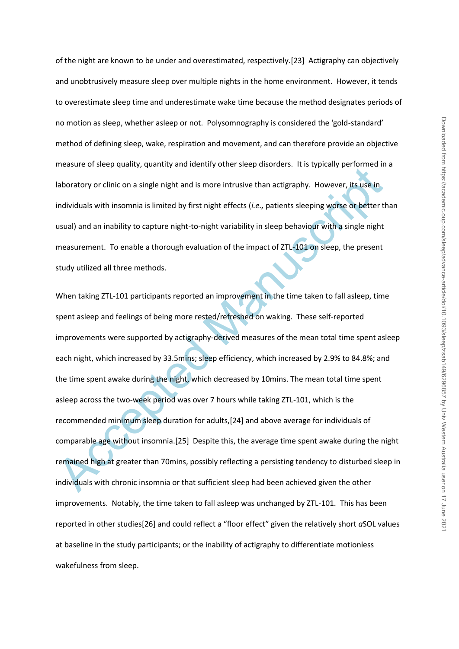of the night are known to be under and overestimated, respectively.[23] Actigraphy can objectively and unobtrusively measure sleep over multiple nights in the home environment. However, it tends to overestimate sleep time and underestimate wake time because the method designates periods of no motion as sleep, whether asleep or not. Polysomnography is considered the 'gold-standard' method of defining sleep, wake, respiration and movement, and can therefore provide an objective measure of sleep quality, quantity and identify other sleep disorders. It is typically performed in a laboratory or clinic on a single night and is more intrusive than actigraphy. However, its use in individuals with insomnia is limited by first night effects (*i.e.,* patients sleeping worse or better than usual) and an inability to capture night-to-night variability in sleep behaviour with a single night measurement. To enable a thorough evaluation of the impact of ZTL-101 on sleep, the present study utilized all three methods.

measure or steep quanty, quantity and dentity other steep disolotes. This syptemy performed in<br>laboratory or clinic on a single night and is more intrusive than actigraphy. However, its use in<br>individuals with insomnia is When taking ZTL-101 participants reported an improvement in the time taken to fall asleep, time spent asleep and feelings of being more rested/refreshed on waking. These self-reported improvements were supported by actigraphy-derived measures of the mean total time spent asleep each night, which increased by 33.5mins; sleep efficiency, which increased by 2.9% to 84.8%; and the time spent awake during the night, which decreased by 10mins. The mean total time spent asleep across the two-week period was over 7 hours while taking ZTL-101, which is the recommended minimum sleep duration for adults,[24] and above average for individuals of comparable age without insomnia.[25] Despite this, the average time spent awake during the night remained high at greater than 70mins, possibly reflecting a persisting tendency to disturbed sleep in individuals with chronic insomnia or that sufficient sleep had been achieved given the other improvements. Notably, the time taken to fall asleep was unchanged by ZTL-101. This has been reported in other studies[26] and could reflect a "floor effect" given the relatively short *a*SOL values at baseline in the study participants; or the inability of actigraphy to differentiate motionless wakefulness from sleep.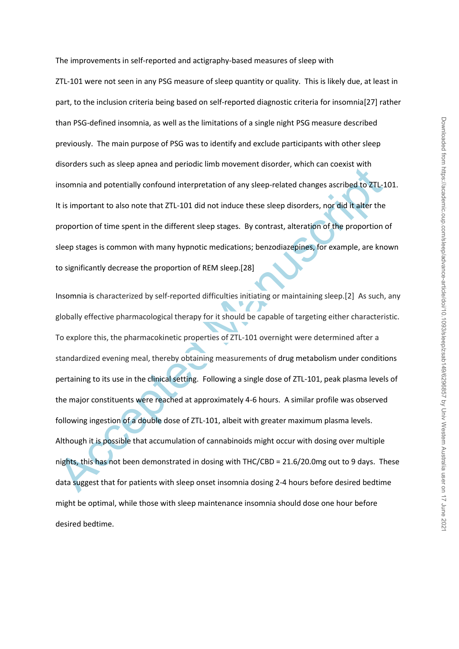The improvements in self-reported and actigraphy-based measures of sleep with

ZTL-101 were not seen in any PSG measure of sleep quantity or quality. This is likely due, at least in part, to the inclusion criteria being based on self-reported diagnostic criteria for insomnia[27] rather than PSG-defined insomnia, as well as the limitations of a single night PSG measure described previously. The main purpose of PSG was to identify and exclude participants with other sleep disorders such as sleep apnea and periodic limb movement disorder, which can coexist with insomnia and potentially confound interpretation of any sleep-related changes ascribed to ZTL-101. It is important to also note that ZTL-101 did not induce these sleep disorders, nor did it alter the proportion of time spent in the different sleep stages. By contrast, alteration of the proportion of sleep stages is common with many hypnotic medications; benzodiazepines, for example, are known to significantly decrease the proportion of REM sleep.[28]

Disorders such as steep epines and periode timin indeterminated (, which can coessist when<br>
insomnia and potentially confound interpretation of any sleep-related changes ascribed to ZTL-1<br>
It is important to also note that Insomnia is characterized by self-reported difficulties initiating or maintaining sleep.[2] As such, any globally effective pharmacological therapy for it should be capable of targeting either characteristic. To explore this, the pharmacokinetic properties of ZTL-101 overnight were determined after a standardized evening meal, thereby obtaining measurements of drug metabolism under conditions pertaining to its use in the clinical setting. Following a single dose of ZTL-101, peak plasma levels of the major constituents were reached at approximately 4-6 hours. A similar profile was observed following ingestion of a double dose of ZTL-101, albeit with greater maximum plasma levels. Although it is possible that accumulation of cannabinoids might occur with dosing over multiple nights, this has not been demonstrated in dosing with THC/CBD = 21.6/20.0mg out to 9 days. These data suggest that for patients with sleep onset insomnia dosing 2-4 hours before desired bedtime might be optimal, while those with sleep maintenance insomnia should dose one hour before desired bedtime.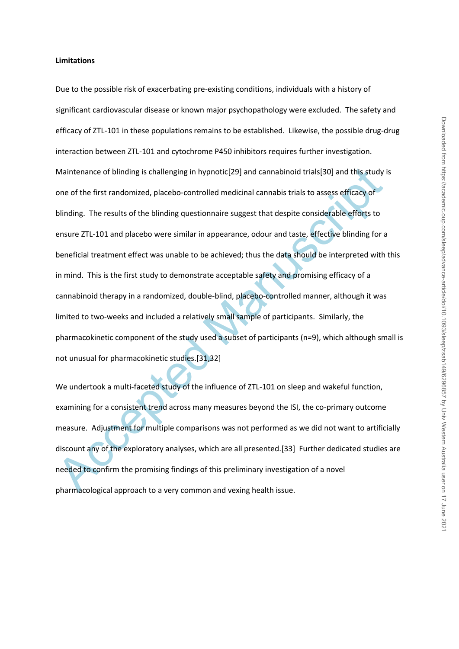#### **Limitations**

Maintenance of blinding is challenging in hypnotic[29] and cannabinoid trials[30] and this study ione of the first randomized, placebo-controlled medicinal cannabis trials to assess efficacy of blinding. The results of the Due to the possible risk of exacerbating pre-existing conditions, individuals with a history of significant cardiovascular disease or known major psychopathology were excluded. The safety and efficacy of ZTL-101 in these populations remains to be established. Likewise, the possible drug-drug interaction between ZTL-101 and cytochrome P450 inhibitors requires further investigation. Maintenance of blinding is challenging in hypnotic[29] and cannabinoid trials[30] and this study is one of the first randomized, placebo-controlled medicinal cannabis trials to assess efficacy of blinding. The results of the blinding questionnaire suggest that despite considerable efforts to ensure ZTL-101 and placebo were similar in appearance, odour and taste, effective blinding for a beneficial treatment effect was unable to be achieved; thus the data should be interpreted with this in mind. This is the first study to demonstrate acceptable safety and promising efficacy of a cannabinoid therapy in a randomized, double-blind, placebo-controlled manner, although it was limited to two-weeks and included a relatively small sample of participants. Similarly, the pharmacokinetic component of the study used a subset of participants (n=9), which although small is not unusual for pharmacokinetic studies.[31,32]

We undertook a multi-faceted study of the influence of ZTL-101 on sleep and wakeful function, examining for a consistent trend across many measures beyond the ISI, the co-primary outcome measure. Adjustment for multiple comparisons was not performed as we did not want to artificially discount any of the exploratory analyses, which are all presented.[33] Further dedicated studies are needed to confirm the promising findings of this preliminary investigation of a novel pharmacological approach to a very common and vexing health issue.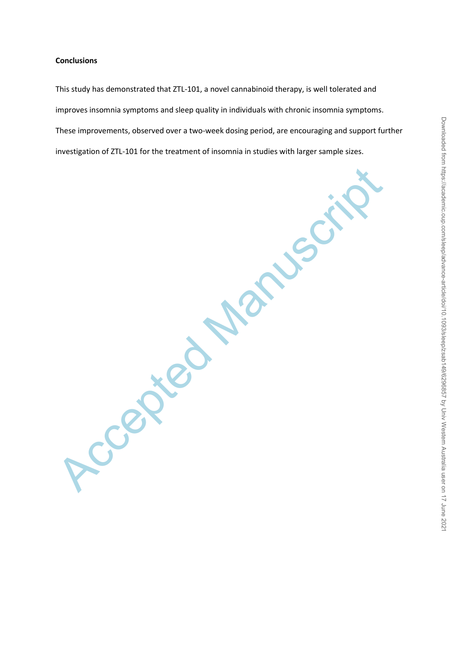#### **Conclusions**

This study has demonstrated that ZTL-101, a novel cannabinoid therapy, is well tolerated and improves insomnia symptoms and sleep quality in individuals with chronic insomnia symptoms. These improvements, observed over a two-week dosing period, are encouraging and support further investigation of ZTL-101 for the treatment of insomnia in studies with larger sample sizes.

Ccepted Manuscr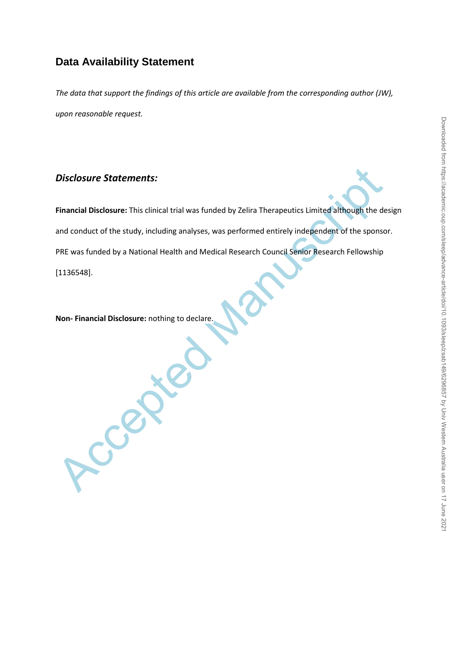# **Data Availability Statement**

*The data that support the findings of this article are available from the corresponding author (JW), upon reasonable request.*

# *Disclosure Statements:*

Disclosure Statements:<br>
Financial Disclosure: This clinical trial was funded by Zelira Therapeutics Limited although the de<br>
and conduct of the study, including analyses, was performed entirely independent of the sponso<br>
P **Financial Disclosure:** This clinical trial was funded by Zelira Therapeutics Limited although the design and conduct of the study, including analyses, was performed entirely independent of the sponsor. PRE was funded by a National Health and Medical Research Council Senior Research Fellowship [1136548].

**Non- Financial Disclosure:** nothing to declare.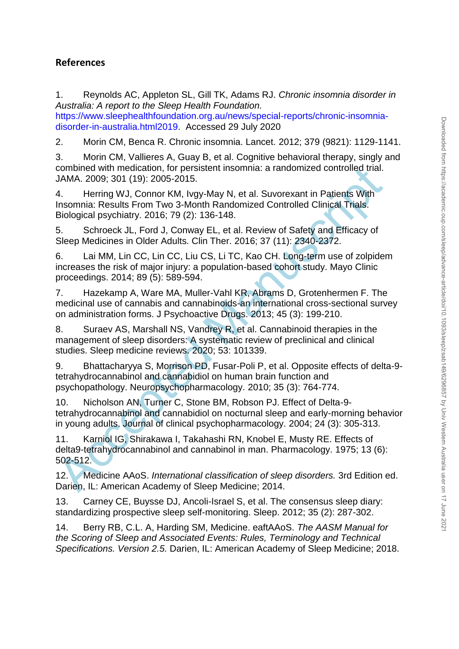# **References**

1. Reynolds AC, Appleton SL, Gill TK, Adams RJ. *Chronic insomnia disorder in Australia: A report to the Sleep Health Foundation.* 

https://www.sleephealthfoundation.org.au/news/special-reports/chronic-insomniadisorder-in-australia.html2019. Accessed 29 July 2020

2. Morin CM, Benca R. Chronic insomnia. Lancet. 2012; 379 (9821): 1129-1141.

3. Morin CM, Vallieres A, Guay B, et al. Cognitive behavioral therapy, singly and combined with medication, for persistent insomnia: a randomized controlled trial. JAMA. 2009; 301 (19): 2005-2015.

4. Herring WJ, Connor KM, Ivgy-May N, et al. Suvorexant in Patients With Insomnia: Results From Two 3-Month Randomized Controlled Clinical Trials. Biological psychiatry. 2016; 79 (2): 136-148.

5. Schroeck JL, Ford J, Conway EL, et al. Review of Safety and Efficacy of Sleep Medicines in Older Adults. Clin Ther. 2016; 37 (11): 2340-2372.

6. Lai MM, Lin CC, Lin CC, Liu CS, Li TC, Kao CH. Long-term use of zolpidem increases the risk of major injury: a population-based cohort study. Mayo Clinic proceedings. 2014; 89 (5): 589-594.

7. Hazekamp A, Ware MA, Muller-Vahl KR, Abrams D, Grotenhermen F. The medicinal use of cannabis and cannabinoids-an international cross-sectional survey on administration forms. J Psychoactive Drugs. 2013; 45 (3): 199-210.

8. Suraev AS, Marshall NS, Vandrey R, et al. Cannabinoid therapies in the management of sleep disorders: A systematic review of preclinical and clinical studies. Sleep medicine reviews. 2020; 53: 101339.

combined with medication, tor persistent insomnia: a randomized controlled trial.<br>
JAMA. 2009; 301 (19): 2005-2015.<br>
4. Herring WJ, Connor KM, lvgy-May N, et al. Suvorexant in Patients With<br>
Insomnia: Results From Two 3-Mo 9. Bhattacharyya S, Morrison PD, Fusar-Poli P, et al. Opposite effects of delta-9 tetrahydrocannabinol and cannabidiol on human brain function and psychopathology. Neuropsychopharmacology. 2010; 35 (3): 764-774.

10. Nicholson AN, Turner C, Stone BM, Robson PJ. Effect of Delta-9 tetrahydrocannabinol and cannabidiol on nocturnal sleep and early-morning behavior in young adults. Journal of clinical psychopharmacology. 2004; 24 (3): 305-313.

11. Karniol IG, Shirakawa I, Takahashi RN, Knobel E, Musty RE. Effects of delta9-tetrahydrocannabinol and cannabinol in man. Pharmacology. 1975; 13 (6): 502-512.

12. Medicine AAoS. *International classification of sleep disorders.* 3rd Edition ed. Darien, IL: American Academy of Sleep Medicine; 2014.

13. Carney CE, Buysse DJ, Ancoli-Israel S, et al. The consensus sleep diary: standardizing prospective sleep self-monitoring. Sleep. 2012; 35 (2): 287-302.

14. Berry RB, C.L. A, Harding SM, Medicine. eaftAAoS. *The AASM Manual for the Scoring of Sleep and Associated Events: Rules, Terminology and Technical Specifications. Version 2.5.* Darien, IL: American Academy of Sleep Medicine; 2018.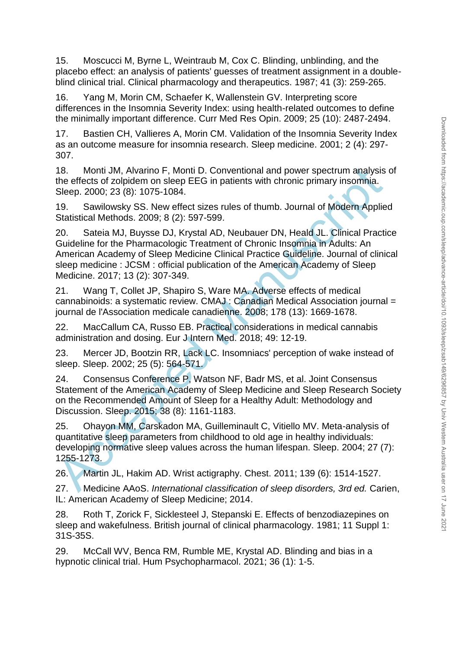15. Moscucci M, Byrne L, Weintraub M, Cox C. Blinding, unblinding, and the placebo effect: an analysis of patients' guesses of treatment assignment in a doubleblind clinical trial. Clinical pharmacology and therapeutics. 1987; 41 (3): 259-265.

16. Yang M, Morin CM, Schaefer K, Wallenstein GV. Interpreting score differences in the Insomnia Severity Index: using health-related outcomes to define the minimally important difference. Curr Med Res Opin. 2009; 25 (10): 2487-2494.

17. Bastien CH, Vallieres A, Morin CM. Validation of the Insomnia Severity Index as an outcome measure for insomnia research. Sleep medicine. 2001; 2 (4): 297- 307.

18. Monti JM, Alvarino F, Monti D. Conventional and power spectrum analysis of the effects of zolpidem on sleep EEG in patients with chronic primary insomnia. Sleep. 2000; 23 (8): 1075-1084.

19. Sawilowsky SS. New effect sizes rules of thumb. Journal of Modern Applied Statistical Methods. 2009; 8 (2): 597-599.

18. Monti JM, Alvarino F, Monti D. Conventional and power spectrum analysis<br>
the effects of zolpidem on sleep EEG in patients with chronic primary insomnia.<br>
Sleep. 2000; 23 (8): 1075-1084.<br>
19. Sawilowsky SS. New effect s 20. Sateia MJ, Buysse DJ, Krystal AD, Neubauer DN, Heald JL. Clinical Practice Guideline for the Pharmacologic Treatment of Chronic Insomnia in Adults: An American Academy of Sleep Medicine Clinical Practice Guideline. Journal of clinical sleep medicine : JCSM : official publication of the American Academy of Sleep Medicine. 2017; 13 (2): 307-349.

21. Wang T, Collet JP, Shapiro S, Ware MA. Adverse effects of medical cannabinoids: a systematic review. CMAJ : Canadian Medical Association journal = journal de l'Association medicale canadienne. 2008; 178 (13): 1669-1678.

22. MacCallum CA, Russo EB. Practical considerations in medical cannabis administration and dosing. Eur J Intern Med. 2018; 49: 12-19.

23. Mercer JD, Bootzin RR, Lack LC. Insomniacs' perception of wake instead of sleep. Sleep. 2002; 25 (5): 564-571.

24. Consensus Conference P, Watson NF, Badr MS, et al. Joint Consensus Statement of the American Academy of Sleep Medicine and Sleep Research Society on the Recommended Amount of Sleep for a Healthy Adult: Methodology and Discussion. Sleep. 2015; 38 (8): 1161-1183.

25. Ohayon MM, Carskadon MA, Guilleminault C, Vitiello MV. Meta-analysis of quantitative sleep parameters from childhood to old age in healthy individuals: developing normative sleep values across the human lifespan. Sleep. 2004; 27 (7): 1255-1273.

26. Martin JL, Hakim AD. Wrist actigraphy. Chest. 2011; 139 (6): 1514-1527.

27. Medicine AAoS. *International classification of sleep disorders, 3rd ed.* Carien, IL: American Academy of Sleep Medicine; 2014.

28. Roth T, Zorick F, Sicklesteel J, Stepanski E. Effects of benzodiazepines on sleep and wakefulness. British journal of clinical pharmacology. 1981; 11 Suppl 1: 31S-35S.

29. McCall WV, Benca RM, Rumble ME, Krystal AD. Blinding and bias in a hypnotic clinical trial. Hum Psychopharmacol. 2021; 36 (1): 1-5.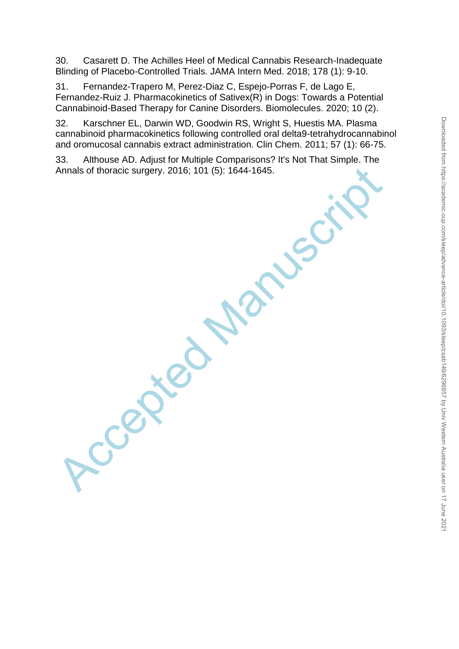30. Casarett D. The Achilles Heel of Medical Cannabis Research-Inadequate Blinding of Placebo-Controlled Trials. JAMA Intern Med. 2018; 178 (1): 9-10.

31. Fernandez-Trapero M, Perez-Diaz C, Espejo-Porras F, de Lago E, Fernandez-Ruiz J. Pharmacokinetics of Sativex(R) in Dogs: Towards a Potential Cannabinoid-Based Therapy for Canine Disorders. Biomolecules. 2020; 10 (2).

32. Karschner EL, Darwin WD, Goodwin RS, Wright S, Huestis MA. Plasma cannabinoid pharmacokinetics following controlled oral delta9-tetrahydrocannabinol and oromucosal cannabis extract administration. Clin Chem. 2011; 57 (1): 66-75.

33. Althouse AD. Adjust for Multiple Comparisons? It's Not That Simple. The Annals of thoracic surgery. 2016; 101 (5): 1644-1645.

Ccepted Manuscript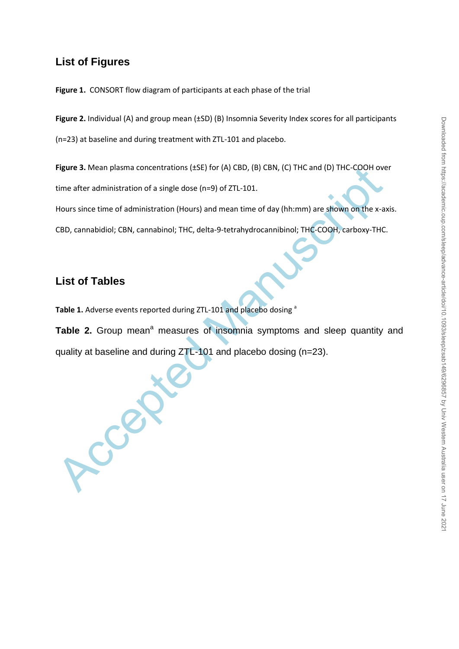# Downloaded from https://academic.oup.com/sleep/advance-article/doi/10.1093/sleep/zsab149/6296857 by Univ Western Australia user on 17 June 202 Downloaded from https://academic.oup.com/sleep/advance-article/doi/10.1093/sleep/zsab149/6296857 by Univ Western Australia user on 17 June 2021

# **List of Figures**

**Figure 1.** CONSORT flow diagram of participants at each phase of the trial

**Figure 2.** Individual (A) and group mean (±SD) (B) Insomnia Severity Index scores for all participants

(n=23) at baseline and during treatment with ZTL-101 and placebo.

**Figure 3.** Mean plasma concentrations (±SE) for (A) CBD, (B) CBN, (C) THC and (D) THC-COOH over

time after administration of a single dose (n=9) of ZTL-101.

Hours since time of administration (Hours) and mean time of day (hh:mm) are shown on the x-axis.

CBD, cannabidiol; CBN, cannabinol; THC, delta-9-tetrahydrocannibinol; THC-COOH, carboxy-THC.

# **List of Tables**

Table 1. Adverse events reported during ZTL-101 and placebo dosing<sup>a</sup>

Figure 3. Mean plasma concentrations (£5E) for (A) CBD, (B) CBN, (C) THC and (D) THC-COOH over<br>time after administration of a single dose (n=9) of ZTL-101.<br>Hours since time of administration (Hours) and mean time of day (h **Table 2.** Group mean<sup>a</sup> measures of insomnia symptoms and sleep quantity and quality at baseline and during ZTL-101 and placebo dosing (n=23).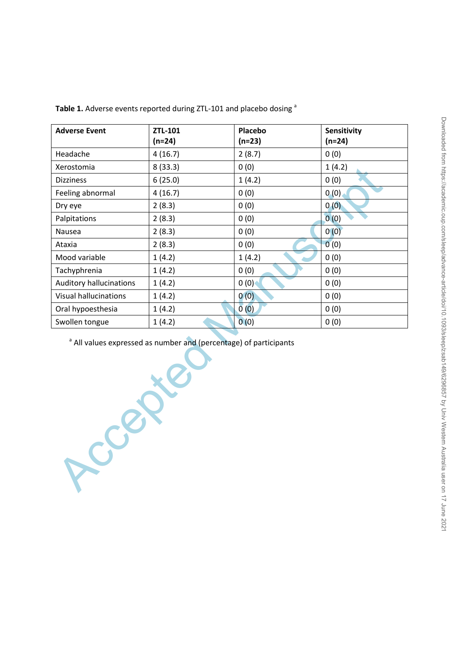| <b>Adverse Event</b>           | ZTL-101<br>$(n=24)$ | Placebo<br>$(n=23)$ | Sensitivity<br>$(n=24)$ |
|--------------------------------|---------------------|---------------------|-------------------------|
| Headache                       | 4(16.7)             | 2(8.7)              | 0(0)                    |
| Xerostomia                     | 8(33.3)             | 0(0)                | 1(4.2)                  |
| <b>Dizziness</b>               | 6(25.0)             | 1(4.2)              | 0(0)                    |
| Feeling abnormal               | 4(16.7)             | 0(0)                | 0(0)                    |
| Dry eye                        | 2(8.3)              | 0(0)                | 0(0)                    |
| Palpitations                   | 2(8.3)              | 0(0)                | 0(0)                    |
| <b>Nausea</b>                  | 2(8.3)              | 0(0)                | 0(0)                    |
| Ataxia                         | 2(8.3)              | 0(0)                | 0(0)                    |
| Mood variable                  | 1(4.2)              | 1(4.2)              | 0(0)                    |
| Tachyphrenia                   | 1(4.2)              | 0(0)                | 0(0)                    |
| <b>Auditory hallucinations</b> | 1(4.2)              | 0(0)                | 0(0)                    |
| <b>Visual hallucinations</b>   | 1(4.2)              | 0(0)                | 0(0)                    |
| Oral hypoesthesia              | 1(4.2)              | 0(0)                | 0(0)                    |
| Swollen tongue                 | 1(4.2)              | 0(0)                | 0(0)                    |

Table 1. Adverse events reported during ZTL-101 and placebo dosing<sup>a</sup>

<sup>a</sup> All values expressed as number and (percentage) of participants

Accepted Manuscript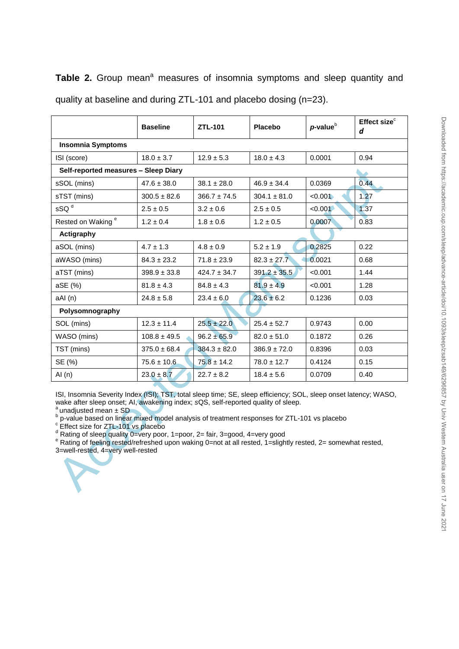|                                                                                                                                                                                                                                                                                                                                                                                                                                                                                                                                                                                                                            | <b>Baseline</b>  | ZTL-101          | <b>Placebo</b>   | $p$ -value $b$ | Effect size <sup>c</sup><br>d |  |  |
|----------------------------------------------------------------------------------------------------------------------------------------------------------------------------------------------------------------------------------------------------------------------------------------------------------------------------------------------------------------------------------------------------------------------------------------------------------------------------------------------------------------------------------------------------------------------------------------------------------------------------|------------------|------------------|------------------|----------------|-------------------------------|--|--|
| <b>Insomnia Symptoms</b>                                                                                                                                                                                                                                                                                                                                                                                                                                                                                                                                                                                                   |                  |                  |                  |                |                               |  |  |
| ISI (score)                                                                                                                                                                                                                                                                                                                                                                                                                                                                                                                                                                                                                | $18.0 \pm 3.7$   | $12.9 \pm 5.3$   | $18.0 \pm 4.3$   | 0.0001         | 0.94                          |  |  |
| Self-reported measures - Sleep Diary                                                                                                                                                                                                                                                                                                                                                                                                                                                                                                                                                                                       |                  |                  |                  |                |                               |  |  |
| sSOL (mins)                                                                                                                                                                                                                                                                                                                                                                                                                                                                                                                                                                                                                | $47.6 \pm 38.0$  | $38.1 \pm 28.0$  | $46.9 \pm 34.4$  | 0.0369         | 0.44                          |  |  |
| sTST (mins)                                                                                                                                                                                                                                                                                                                                                                                                                                                                                                                                                                                                                | $300.5 \pm 82.6$ | $366.7 \pm 74.5$ | $304.1 \pm 81.0$ | < 0.001        | 1.27                          |  |  |
| sSQ <sup>d</sup>                                                                                                                                                                                                                                                                                                                                                                                                                                                                                                                                                                                                           | $2.5 \pm 0.5$    | $3.2 \pm 0.6$    | $2.5 \pm 0.5$    | < 0.001        | 1.37                          |  |  |
| Rested on Waking <sup>e</sup>                                                                                                                                                                                                                                                                                                                                                                                                                                                                                                                                                                                              | $1.2 \pm 0.4$    | $1.8 \pm 0.6$    | $1.2 \pm 0.5$    | 0.0007         | 0.83                          |  |  |
| Actigraphy                                                                                                                                                                                                                                                                                                                                                                                                                                                                                                                                                                                                                 |                  |                  |                  |                |                               |  |  |
| aSOL (mins)                                                                                                                                                                                                                                                                                                                                                                                                                                                                                                                                                                                                                | $4.7 \pm 1.3$    | $4.8 \pm 0.9$    | $5.2 \pm 1.9$    | 0.2825         | 0.22                          |  |  |
| aWASO (mins)                                                                                                                                                                                                                                                                                                                                                                                                                                                                                                                                                                                                               | $84.3 \pm 23.2$  | $71.8 \pm 23.9$  | $82.3 \pm 27.7$  | 0.0021         | 0.68                          |  |  |
| aTST (mins)                                                                                                                                                                                                                                                                                                                                                                                                                                                                                                                                                                                                                | $398.9 \pm 33.8$ | $424.7 \pm 34.7$ | $391.2 \pm 35.5$ | < 0.001        | 1.44                          |  |  |
| aSE (%)                                                                                                                                                                                                                                                                                                                                                                                                                                                                                                                                                                                                                    | $81.8 \pm 4.3$   | $84.8 \pm 4.3$   | $81.9 \pm 4.9$   | < 0.001        | 1.28                          |  |  |
| aAI (n)                                                                                                                                                                                                                                                                                                                                                                                                                                                                                                                                                                                                                    | $24.8 \pm 5.8$   | $23.4 \pm 6.0$   | $23.6 \pm 6.2$   | 0.1236         | 0.03                          |  |  |
| Polysomnography                                                                                                                                                                                                                                                                                                                                                                                                                                                                                                                                                                                                            |                  |                  |                  |                |                               |  |  |
| SOL (mins)                                                                                                                                                                                                                                                                                                                                                                                                                                                                                                                                                                                                                 | $12.3 \pm 11.4$  | $25.5 \pm 22.0$  | $25.4 \pm 52.7$  | 0.9743         | 0.00                          |  |  |
| WASO (mins)                                                                                                                                                                                                                                                                                                                                                                                                                                                                                                                                                                                                                | $108.8 \pm 49.5$ | $96.2 \pm 65.9$  | $82.0 \pm 51.0$  | 0.1872         | 0.26                          |  |  |
| TST (mins)                                                                                                                                                                                                                                                                                                                                                                                                                                                                                                                                                                                                                 | $375.0 \pm 68.4$ | $384.3 \pm 82.0$ | $386.9 \pm 72.0$ | 0.8396         | 0.03                          |  |  |
| SE (%)                                                                                                                                                                                                                                                                                                                                                                                                                                                                                                                                                                                                                     | $75.6 \pm 10.6$  | $75.8 \pm 14.2$  | $78.0 \pm 12.7$  | 0.4124         | 0.15                          |  |  |
| Al $(n)$                                                                                                                                                                                                                                                                                                                                                                                                                                                                                                                                                                                                                   | $23.0 \pm 8.7$   | $22.7 \pm 8.2$   | $18.4 \pm 5.6$   | 0.0709         | 0.40                          |  |  |
| ISI, Insomnia Severity Index (ISI); TST, total sleep time; SE, sleep efficiency; SOL, sleep onset latency; WASO,<br>wake after sleep onset; AI, awakening index; sQS, self-reported quality of sleep.<br>$a$ unadjusted mean $\pm$ SD<br>b p-value based on linear mixed model analysis of treatment responses for ZTL-101 vs placebo<br><sup>c</sup> Effect size for ZTL-101 vs placebo<br>Rating of sleep quality 0=very poor, 1=poor, 2= fair, 3=good, 4=very good<br>e Rating of feeling rested/refreshed upon waking 0=not at all rested, 1=slightly rested, 2= somewhat rested,<br>3=well-rested, 4=very well-rested |                  |                  |                  |                |                               |  |  |

Table 2. Group mean<sup>a</sup> measures of insomnia symptoms and sleep quantity and quality at baseline and during ZTL-101 and placebo dosing (n=23).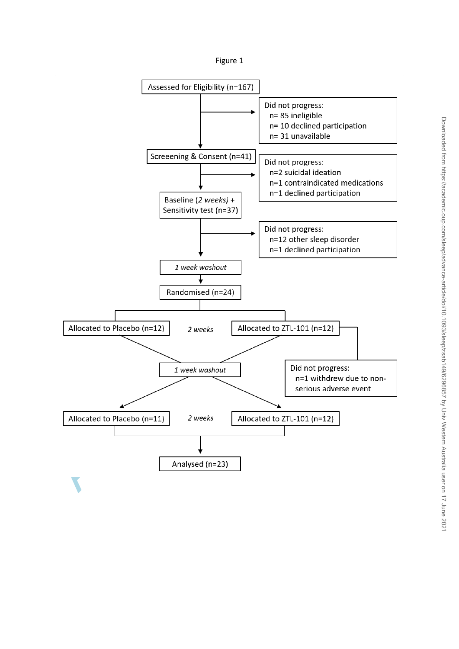

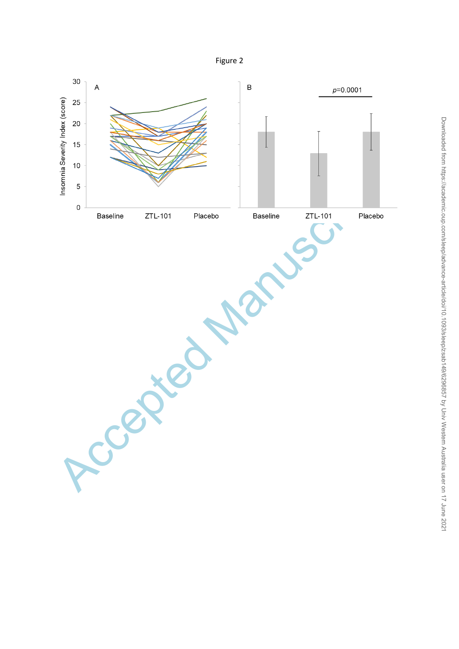Figure 2